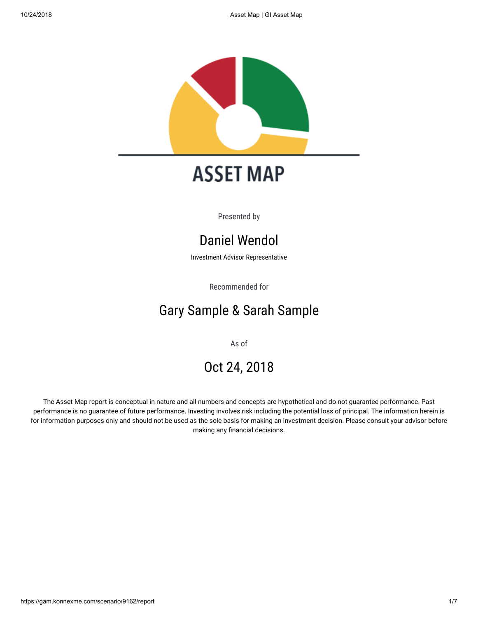

# **ASSET MAP**

Presented by

# Daniel Wendol

Investment Advisor Representative

Recommended for

# Gary Sample & Sarah Sample

As of

# Oct 24, 2018

The Asset Map report is conceptual in nature and all numbers and concepts are hypothetical and do not guarantee performance. Past performance is no guarantee of future performance. Investing involves risk including the potential loss of principal. The information herein is for information purposes only and should not be used as the sole basis for making an investment decision. Please consult your advisor before making any financial decisions.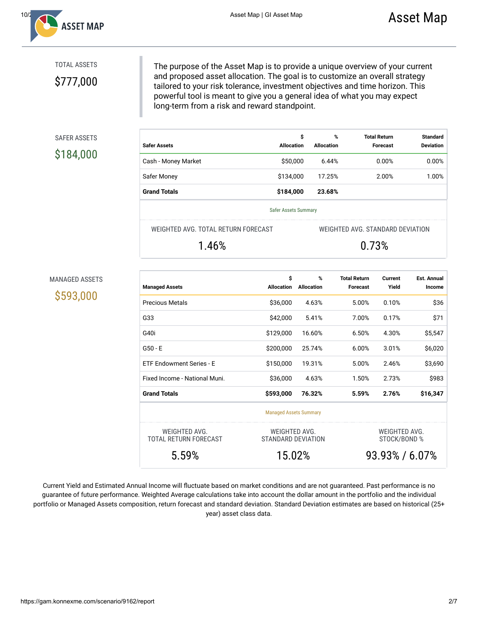

# TOTAL ASSETS

\$777,000

The purpose of the Asset Map is to provide a unique overview of your current and proposed asset allocation. The goal is to customize an overall strategy tailored to your risk tolerance, investment objectives and time horizon. This powerful tool is meant to give you a general idea of what you may expect long-term from a risk and reward standpoint.

## SAFER ASSETS

# \$184,000

| <b>Safer Assets</b>  | \$<br><b>Allocation</b> | %<br>Allocation | <b>Total Return</b><br><b>Forecast</b> | <b>Standard</b><br><b>Deviation</b> |  |  |  |
|----------------------|-------------------------|-----------------|----------------------------------------|-------------------------------------|--|--|--|
| Cash - Money Market  | \$50,000                | 6.44%           | $0.00\%$                               | 0.00%                               |  |  |  |
| Safer Money          | \$134,000               | 17.25%          | 2.00%                                  | 1.00%                               |  |  |  |
| <b>Grand Totals</b>  | \$184,000               | 23.68%          |                                        |                                     |  |  |  |
| Safer Assets Summary |                         |                 |                                        |                                     |  |  |  |

WEIGHTED AVG. TOTAL RETURN FORECAST

1.46%

WEIGHTED AVG. STANDARD DEVIATION 0.73%

### MANAGED ASSETS

\$593,000

| <b>Managed Assets</b>                  | \$<br><b>Allocation</b>             | %<br><b>Allocation</b> | <b>Total Return</b><br><b>Forecast</b> | Current<br>Yield                     | <b>Est. Annual</b><br>Income |
|----------------------------------------|-------------------------------------|------------------------|----------------------------------------|--------------------------------------|------------------------------|
| <b>Precious Metals</b>                 | \$36,000                            | 4.63%                  | 5.00%                                  | 0.10%                                | \$36                         |
| G33                                    | \$42,000                            | 5.41%                  | 7.00%                                  | 0.17%                                | \$71                         |
| G40i                                   | \$129,000                           | 16.60%                 | 6.50%                                  | 4.30%                                | \$5,547                      |
| $G50 - E$                              | \$200,000                           | 25.74%                 | 6.00%                                  | 3.01%                                | \$6,020                      |
| ETF Endowment Series - E               | \$150,000                           | 19.31%                 | 5.00%                                  | 2.46%                                | \$3,690                      |
| Fixed Income - National Muni.          | \$36,000                            | 4.63%                  | 1.50%                                  | 2.73%                                | \$983                        |
| <b>Grand Totals</b>                    | \$593,000                           | 76.32%                 | 5.59%                                  | 2.76%                                | \$16,347                     |
|                                        | <b>Managed Assets Summary</b>       |                        |                                        |                                      |                              |
| WEIGHTED AVG.<br>TOTAL RETURN FORECAST | WEIGHTED AVG.<br>STANDARD DEVIATION |                        |                                        | WEIGHTED AVG.<br><b>STOCK/BOND %</b> |                              |
| 5.59%                                  | 15.02%                              |                        | 93.93%/6.07%                           |                                      |                              |

Current Yield and Estimated Annual Income will fluctuate based on market conditions and are not guaranteed. Past performance is no guarantee of future performance. Weighted Average calculations take into account the dollar amount in the portfolio and the individual portfolio or Managed Assets composition, return forecast and standard deviation. Standard Deviation estimates are based on historical (25+ year) asset class data.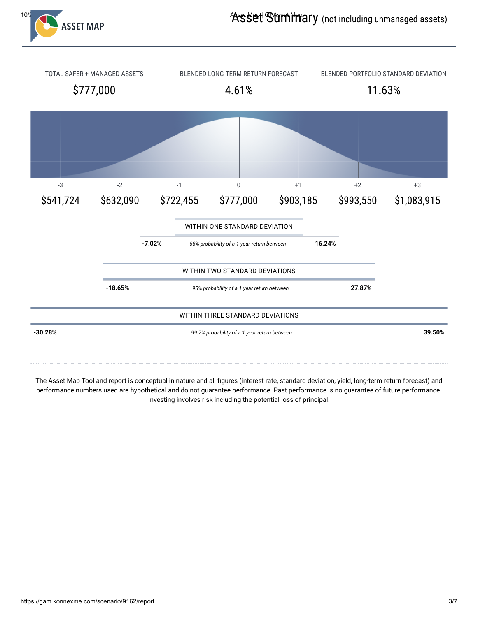



The Asset Map Tool and report is conceptual in nature and all figures (interest rate, standard deviation, yield, long-term return forecast) and performance numbers used are hypothetical and do not guarantee performance. Past performance is no guarantee of future performance. Investing involves risk including the potential loss of principal.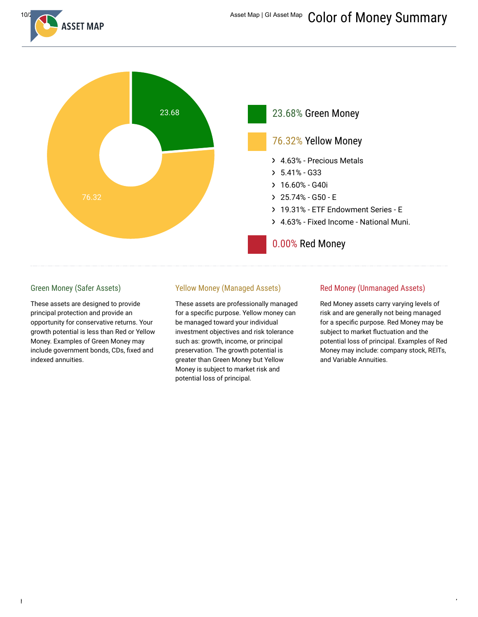



## Green Money (Safer Assets)

These assets are designed to provide principal protection and provide an opportunity for conservative returns. Your growth potential is less than Red or Yellow Money. Examples of Green Money may include government bonds, CDs, fixed and indexed annuities.

## Yellow Money (Managed Assets)

These assets are professionally managed for a specific purpose. Yellow money can be managed toward your individual investment objectives and risk tolerance such as: growth, income, or principal preservation. The growth potential is greater than Green Money but Yellow Money is subject to market risk and potential loss of principal.

### Red Money (Unmanaged Assets)

Red Money assets carry varying levels of risk and are generally not being managed for a specific purpose. Red Money may be subject to market fluctuation and the potential loss of principal. Examples of Red Money may include: company stock, REITs, and Variable Annuities.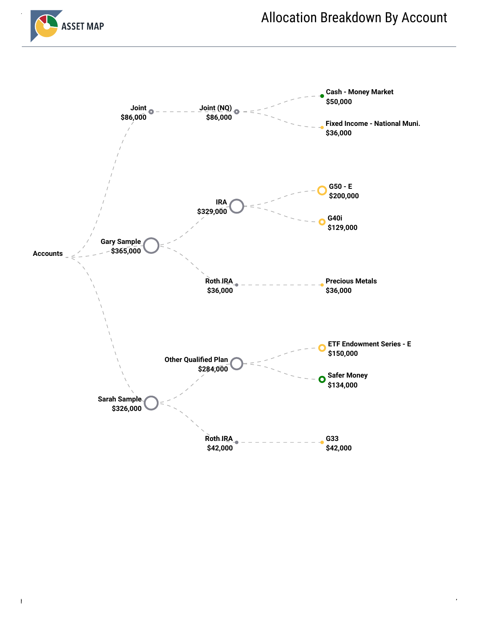

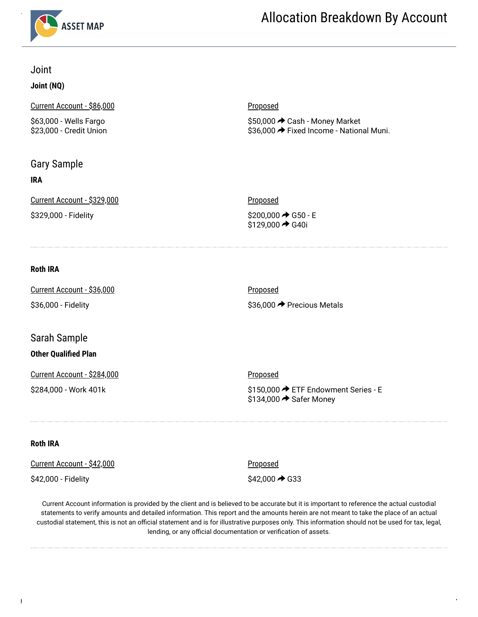

# Joint

# **Joint (NQ)**

Current Account - \$86,000

\$63,000 - Wells Fargo \$23,000 - Credit Union

# Gary Sample

# **IRA**

Current Account - \$329,000

\$329,000 - Fidelity

# **Proposed**

\$50,000 Cash - Money Market \$36,000 → Fixed Income - National Muni.

# **Proposed** \$200,000 **→** G50 - E \$129,000 **→** G40i

# **Roth IRA**

| Current Account - \$36,000 | <u>Proposed</u>            |
|----------------------------|----------------------------|
| \$36,000 - Fidelity        | \$36,000 → Precious Metals |

# Sarah Sample

# **Other Qualified Plan**

Current Account - \$284,000

\$284,000 - Work 401k

**Proposed** 

\$150,000 ETF Endowment Series - E  $$134,000 \rightarrow$  Safer Money

## **Roth IRA**

| Current Account - \$42,000 | <u>Proposed</u>            |
|----------------------------|----------------------------|
| \$42,000 - Fidelity        | $$42,000 \rightarrow $ G33 |

Current Account information is provided by the client and is believed to be accurate but it is important to reference the actual custodial statements to verify amounts and detailed information. This report and the amounts herein are not meant to take the place of an actual custodial statement, this is not an official statement and is for illustrative purposes only. This information should not be used for tax, legal, lending, or any official documentation or verification of assets.